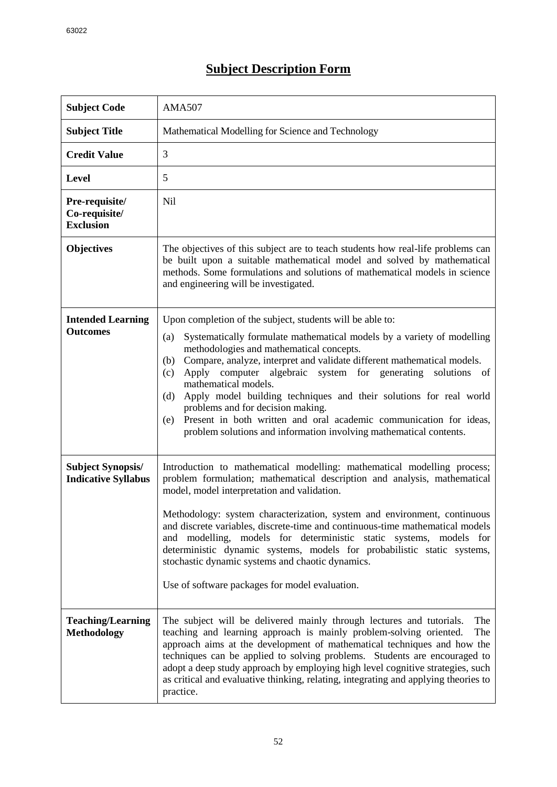## **Subject Description Form**

| <b>Subject Code</b>                                    | <b>AMA507</b>                                                                                                                                                                                                                                                                                                                                                                                                                                                                                                                                                                                                                                          |
|--------------------------------------------------------|--------------------------------------------------------------------------------------------------------------------------------------------------------------------------------------------------------------------------------------------------------------------------------------------------------------------------------------------------------------------------------------------------------------------------------------------------------------------------------------------------------------------------------------------------------------------------------------------------------------------------------------------------------|
| <b>Subject Title</b>                                   | Mathematical Modelling for Science and Technology                                                                                                                                                                                                                                                                                                                                                                                                                                                                                                                                                                                                      |
| <b>Credit Value</b>                                    | 3                                                                                                                                                                                                                                                                                                                                                                                                                                                                                                                                                                                                                                                      |
| <b>Level</b>                                           | 5                                                                                                                                                                                                                                                                                                                                                                                                                                                                                                                                                                                                                                                      |
| Pre-requisite/<br>Co-requisite/<br><b>Exclusion</b>    | N <sub>il</sub>                                                                                                                                                                                                                                                                                                                                                                                                                                                                                                                                                                                                                                        |
| <b>Objectives</b>                                      | The objectives of this subject are to teach students how real-life problems can<br>be built upon a suitable mathematical model and solved by mathematical<br>methods. Some formulations and solutions of mathematical models in science<br>and engineering will be investigated.                                                                                                                                                                                                                                                                                                                                                                       |
| <b>Intended Learning</b><br><b>Outcomes</b>            | Upon completion of the subject, students will be able to:<br>Systematically formulate mathematical models by a variety of modelling<br>(a)<br>methodologies and mathematical concepts.<br>Compare, analyze, interpret and validate different mathematical models.<br>(b)<br>Apply computer<br>algebraic system for generating<br>solutions<br>(c)<br>- of<br>mathematical models.<br>Apply model building techniques and their solutions for real world<br>(d)<br>problems and for decision making.<br>Present in both written and oral academic communication for ideas,<br>(e)<br>problem solutions and information involving mathematical contents. |
| <b>Subject Synopsis/</b><br><b>Indicative Syllabus</b> | Introduction to mathematical modelling: mathematical modelling process;<br>problem formulation; mathematical description and analysis, mathematical<br>model, model interpretation and validation.<br>Methodology: system characterization, system and environment, continuous<br>and discrete variables, discrete-time and continuous-time mathematical models<br>and modelling, models for deterministic static systems, models for<br>deterministic dynamic systems, models for probabilistic static systems,<br>stochastic dynamic systems and chaotic dynamics.<br>Use of software packages for model evaluation.                                 |
| <b>Teaching/Learning</b><br><b>Methodology</b>         | The subject will be delivered mainly through lectures and tutorials.<br>The<br>teaching and learning approach is mainly problem-solving oriented.<br>The<br>approach aims at the development of mathematical techniques and how the<br>techniques can be applied to solving problems. Students are encouraged to<br>adopt a deep study approach by employing high level cognitive strategies, such<br>as critical and evaluative thinking, relating, integrating and applying theories to<br>practice.                                                                                                                                                 |